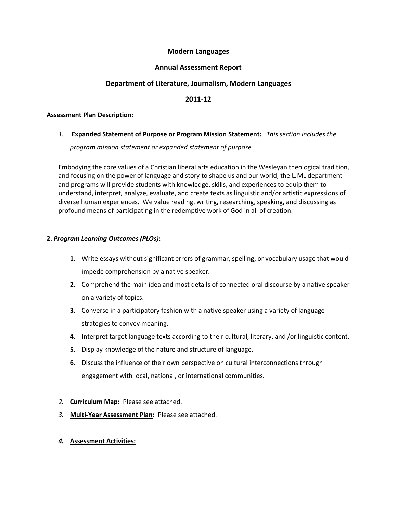# **Modern Languages**

### **Annual Assessment Report**

## **Department of Literature, Journalism, Modern Languages**

### **2011-12**

#### **Assessment Plan Description:**

*1.* **Expanded Statement of Purpose or Program Mission Statement:** *This section includes the* 

*program mission statement or expanded statement of purpose.* 

Embodying the core values of a Christian liberal arts education in the Wesleyan theological tradition, and focusing on the power of language and story to shape us and our world, the LJML department and programs will provide students with knowledge, skills, and experiences to equip them to understand, interpret, analyze, evaluate, and create texts as linguistic and/or artistic expressions of diverse human experiences. We value reading, writing, researching, speaking, and discussing as profound means of participating in the redemptive work of God in all of creation.

### **2.** *Program Learning Outcomes (PLOs)***:**

- **1.** Write essays without significant errors of grammar, spelling, or vocabulary usage that would impede comprehension by a native speaker.
- **2.** Comprehend the main idea and most details of connected oral discourse by a native speaker on a variety of topics.
- **3.** Converse in a participatory fashion with a native speaker using a variety of language strategies to convey meaning.
- **4.** Interpret target language texts according to their cultural, literary, and /or linguistic content.
- **5.** Display knowledge of the nature and structure of language.
- **6.** Discuss the influence of their own perspective on cultural interconnections through engagement with local, national, or international communities.
- *2.* **Curriculum Map:** Please see attached.
- *3.* **Multi-Year Assessment Plan:** Please see attached.
- *4.* **Assessment Activities:**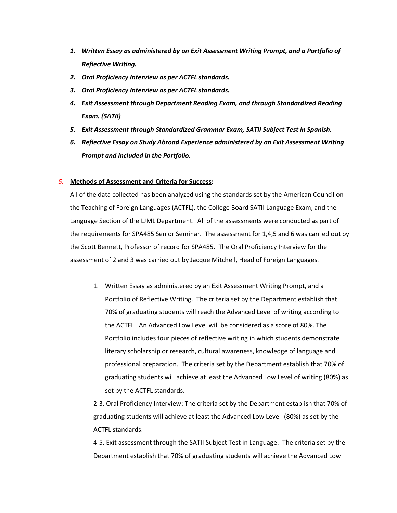- *1. Written Essay as administered by an Exit Assessment Writing Prompt, and a Portfolio of Reflective Writing.*
- *2. Oral Proficiency Interview as per ACTFL standards.*
- *3. Oral Proficiency Interview as per ACTFL standards.*
- *4. Exit Assessment through Department Reading Exam, and through Standardized Reading Exam. (SATII)*
- *5. Exit Assessment through Standardized Grammar Exam, SATII Subject Test in Spanish.*
- *6. Reflective Essay on Study Abroad Experience administered by an Exit Assessment Writing Prompt and included in the Portfolio.*

#### *5.* **Methods of Assessment and Criteria for Success:**

All of the data collected has been analyzed using the standards set by the American Council on the Teaching of Foreign Languages (ACTFL), the College Board SATII Language Exam, and the Language Section of the LJML Department. All of the assessments were conducted as part of the requirements for SPA485 Senior Seminar. The assessment for 1,4,5 and 6 was carried out by the Scott Bennett, Professor of record for SPA485. The Oral Proficiency Interview for the assessment of 2 and 3 was carried out by Jacque Mitchell, Head of Foreign Languages.

1. Written Essay as administered by an Exit Assessment Writing Prompt, and a Portfolio of Reflective Writing. The criteria set by the Department establish that 70% of graduating students will reach the Advanced Level of writing according to the ACTFL. An Advanced Low Level will be considered as a score of 80%. The Portfolio includes four pieces of reflective writing in which students demonstrate literary scholarship or research, cultural awareness, knowledge of language and professional preparation. The criteria set by the Department establish that 70% of graduating students will achieve at least the Advanced Low Level of writing (80%) as set by the ACTFL standards.

2-3. Oral Proficiency Interview: The criteria set by the Department establish that 70% of graduating students will achieve at least the Advanced Low Level (80%) as set by the ACTFL standards.

4-5. Exit assessment through the SATII Subject Test in Language. The criteria set by the Department establish that 70% of graduating students will achieve the Advanced Low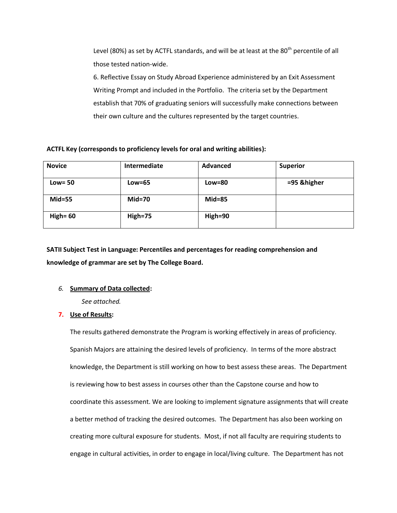Level (80%) as set by ACTFL standards, and will be at least at the 80<sup>th</sup> percentile of all those tested nation-wide.

6. Reflective Essay on Study Abroad Experience administered by an Exit Assessment Writing Prompt and included in the Portfolio. The criteria set by the Department establish that 70% of graduating seniors will successfully make connections between their own culture and the cultures represented by the target countries.

### **ACTFL Key (corresponds to proficiency levels for oral and writing abilities):**

| <b>Novice</b> | Intermediate | Advanced   | <b>Superior</b> |
|---------------|--------------|------------|-----------------|
| $Low = 50$    | $Low = 65$   | $Low = 80$ | =95 & higher    |
| $Mid=55$      | $Mid=70$     | $Mid=85$   |                 |
| High= $60$    | High=75      | $High=90$  |                 |

**SATII Subject Test in Language: Percentiles and percentages for reading comprehension and knowledge of grammar are set by The College Board.**

# *6.* **Summary of Data collected:**

*See attached.*

# **7. Use of Results:**

The results gathered demonstrate the Program is working effectively in areas of proficiency. Spanish Majors are attaining the desired levels of proficiency. In terms of the more abstract knowledge, the Department is still working on how to best assess these areas. The Department is reviewing how to best assess in courses other than the Capstone course and how to coordinate this assessment. We are looking to implement signature assignments that will create a better method of tracking the desired outcomes. The Department has also been working on creating more cultural exposure for students. Most, if not all faculty are requiring students to engage in cultural activities, in order to engage in local/living culture. The Department has not